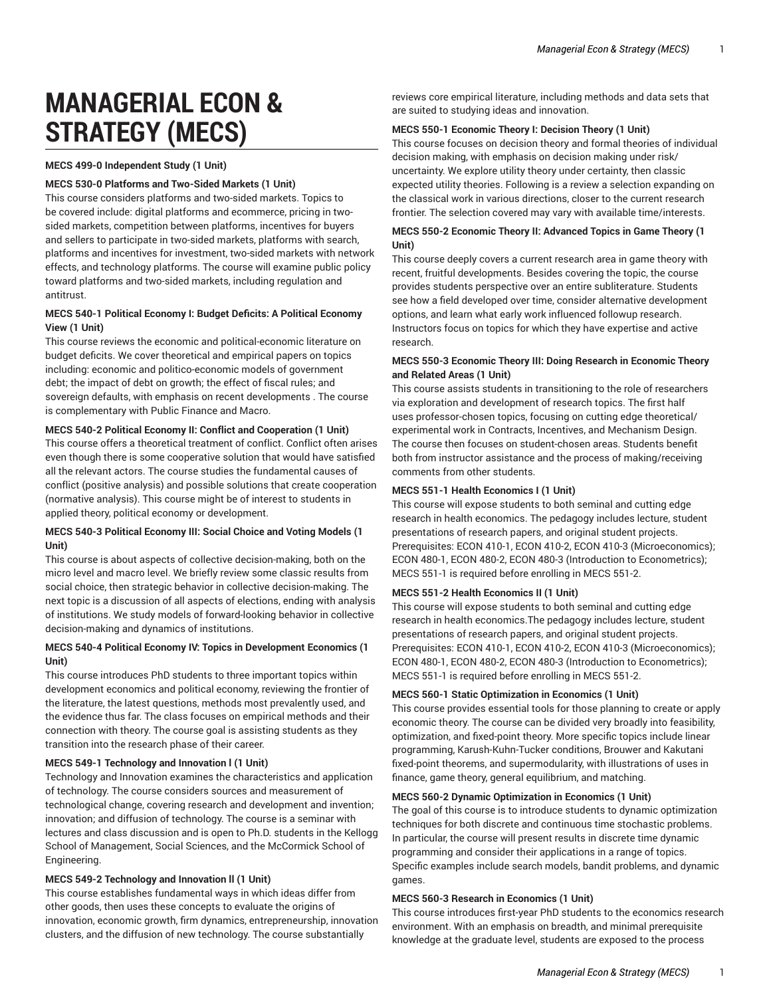# **MANAGERIAL ECON & STRATEGY (MECS)**

**MECS 499-0 Independent Study (1 Unit)** 

#### **MECS 530-0 Platforms and Two-Sided Markets (1 Unit)**

This course considers platforms and two-sided markets. Topics to be covered include: digital platforms and ecommerce, pricing in twosided markets, competition between platforms, incentives for buyers and sellers to participate in two-sided markets, platforms with search, platforms and incentives for investment, two-sided markets with network effects, and technology platforms. The course will examine public policy toward platforms and two-sided markets, including regulation and antitrust.

# **MECS 540-1 Political Economy I: Budget Deficits: A Political Economy View (1 Unit)**

This course reviews the economic and political-economic literature on budget deficits. We cover theoretical and empirical papers on topics including: economic and politico-economic models of government debt; the impact of debt on growth; the effect of fiscal rules; and sovereign defaults, with emphasis on recent developments . The course is complementary with Public Finance and Macro.

## **MECS 540-2 Political Economy II: Conflict and Cooperation (1 Unit)**

This course offers a theoretical treatment of conflict. Conflict often arises even though there is some cooperative solution that would have satisfied all the relevant actors. The course studies the fundamental causes of conflict (positive analysis) and possible solutions that create cooperation (normative analysis). This course might be of interest to students in applied theory, political economy or development.

## **MECS 540-3 Political Economy III: Social Choice and Voting Models (1 Unit)**

This course is about aspects of collective decision-making, both on the micro level and macro level. We briefly review some classic results from social choice, then strategic behavior in collective decision-making. The next topic is a discussion of all aspects of elections, ending with analysis of institutions. We study models of forward-looking behavior in collective decision-making and dynamics of institutions.

## **MECS 540-4 Political Economy IV: Topics in Development Economics (1 Unit)**

This course introduces PhD students to three important topics within development economics and political economy, reviewing the frontier of the literature, the latest questions, methods most prevalently used, and the evidence thus far. The class focuses on empirical methods and their connection with theory. The course goal is assisting students as they transition into the research phase of their career.

#### **MECS 549-1 Technology and Innovation l (1 Unit)**

Technology and Innovation examines the characteristics and application of technology. The course considers sources and measurement of technological change, covering research and development and invention; innovation; and diffusion of technology. The course is a seminar with lectures and class discussion and is open to Ph.D. students in the Kellogg School of Management, Social Sciences, and the McCormick School of Engineering.

#### **MECS 549-2 Technology and Innovation ll (1 Unit)**

This course establishes fundamental ways in which ideas differ from other goods, then uses these concepts to evaluate the origins of innovation, economic growth, firm dynamics, entrepreneurship, innovation clusters, and the diffusion of new technology. The course substantially

reviews core empirical literature, including methods and data sets that are suited to studying ideas and innovation.

#### **MECS 550-1 Economic Theory I: Decision Theory (1 Unit)**

This course focuses on decision theory and formal theories of individual decision making, with emphasis on decision making under risk/ uncertainty. We explore utility theory under certainty, then classic expected utility theories. Following is a review a selection expanding on the classical work in various directions, closer to the current research frontier. The selection covered may vary with available time/interests.

## **MECS 550-2 Economic Theory II: Advanced Topics in Game Theory (1 Unit)**

This course deeply covers a current research area in game theory with recent, fruitful developments. Besides covering the topic, the course provides students perspective over an entire subliterature. Students see how a field developed over time, consider alternative development options, and learn what early work influenced followup research. Instructors focus on topics for which they have expertise and active research.

## **MECS 550-3 Economic Theory III: Doing Research in Economic Theory and Related Areas (1 Unit)**

This course assists students in transitioning to the role of researchers via exploration and development of research topics. The first half uses professor-chosen topics, focusing on cutting edge theoretical/ experimental work in Contracts, Incentives, and Mechanism Design. The course then focuses on student-chosen areas. Students benefit both from instructor assistance and the process of making/receiving comments from other students.

## **MECS 551-1 Health Economics I (1 Unit)**

This course will expose students to both seminal and cutting edge research in health economics. The pedagogy includes lecture, student presentations of research papers, and original student projects. Prerequisites: ECON 410-1, ECON 410-2, ECON 410-3 (Microeconomics); ECON 480-1, ECON 480-2, ECON 480-3 (Introduction to Econometrics); MECS 551-1 is required before enrolling in MECS 551-2.

#### **MECS 551-2 Health Economics II (1 Unit)**

This course will expose students to both seminal and cutting edge research in health economics.The pedagogy includes lecture, student presentations of research papers, and original student projects. Prerequisites: ECON 410-1, ECON 410-2, ECON 410-3 (Microeconomics); ECON 480-1, ECON 480-2, ECON 480-3 (Introduction to Econometrics); MECS 551-1 is required before enrolling in MECS 551-2.

#### **MECS 560-1 Static Optimization in Economics (1 Unit)**

This course provides essential tools for those planning to create or apply economic theory. The course can be divided very broadly into feasibility, optimization, and fixed-point theory. More specific topics include linear programming, Karush-Kuhn-Tucker conditions, Brouwer and Kakutani fixed-point theorems, and supermodularity, with illustrations of uses in finance, game theory, general equilibrium, and matching.

#### **MECS 560-2 Dynamic Optimization in Economics (1 Unit)**

The goal of this course is to introduce students to dynamic optimization techniques for both discrete and continuous time stochastic problems. In particular, the course will present results in discrete time dynamic programming and consider their applications in a range of topics. Specific examples include search models, bandit problems, and dynamic games.

## **MECS 560-3 Research in Economics (1 Unit)**

This course introduces first-year PhD students to the economics research environment. With an emphasis on breadth, and minimal prerequisite knowledge at the graduate level, students are exposed to the process